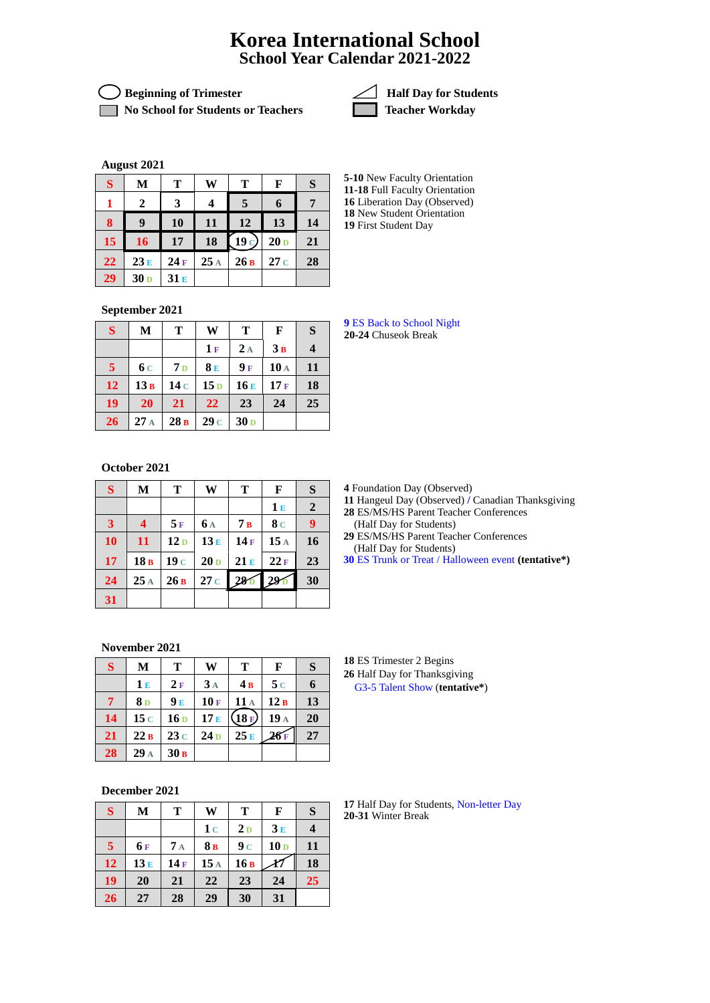## **Korea International School School Year Calendar 2021-2022**

**Solution** Beginning of Trimester **Accord 2** Half Day for Students

**No School for Students or Teachers Teacher Workday** 



**August 2021**

| S  | M               | Т   | W   | Т     | F               | S  |
|----|-----------------|-----|-----|-------|-----------------|----|
|    | 2               | 3   | 4   | 5     | 6               |    |
| 8  | 9               | 10  | 11  | 12    | 13              | 14 |
| 15 | 16              | 17  | 18  | (19c) | 20 <sub>D</sub> | 21 |
| 22 | 23E             | 24F | 25A | 26B   | 27c             | 28 |
| 29 | 30 <sub>D</sub> | 31E |     |       |                 |    |

**5-10** New Faculty Orientation **11-18** Full Faculty Orientation Liberation Day (Observed) New Student Orientation First Student Day

**September 2021**

| S                       | M               | Т              | W               | Т               | $\mathbf{F}$ | S                       |
|-------------------------|-----------------|----------------|-----------------|-----------------|--------------|-------------------------|
|                         |                 |                | 1F              | 2A              | 3B           | $\overline{\mathbf{4}}$ |
| $\overline{\mathbf{5}}$ | 6 c             | 7 <sub>D</sub> | 8E              | 9F              | 10A          | 11                      |
| 12                      | 13B             | 14c            | 15 <sub>D</sub> | 16E             | 17F          | 18                      |
| 19                      | 20              | 21             | 22              | 23              | 24           | 25                      |
| 26                      | 27 <sub>A</sub> | 28B            | 29c             | 30 <sub>D</sub> |              |                         |

**October 2021**

| $\mathbf S$             | $\mathbf{M}$ | T               | W               | T               | F              | S                |
|-------------------------|--------------|-----------------|-----------------|-----------------|----------------|------------------|
|                         |              |                 |                 |                 | 1E             | $\boldsymbol{2}$ |
| $\overline{\mathbf{3}}$ | 4            | 5F              | <b>6A</b>       | 7B              | 8 <sub>c</sub> | 9                |
| 10                      | 11           | 12 <sub>D</sub> | 13E             | 14F             | 15A            | 16               |
| 17                      | 18B          | 19 <sub>c</sub> | 20 <sub>D</sub> | 21E             | 22F            | 23               |
| 24                      | 25A          | 26B             | 27c             | 28 <sub>D</sub> | 291            | 30               |
| 31                      |              |                 |                 |                 |                |                  |

**November 2021**

| S  | М              | Т               | W               | т     | F      | S  |
|----|----------------|-----------------|-----------------|-------|--------|----|
|    | 1E             | 2F              | 3 <sub>A</sub>  | 4B    | 5c     |    |
| 7  | 8 <sub>D</sub> | 9E              | 10F             | 11A   | 12B    | 13 |
| 14 | 15c            | 16 <sub>D</sub> | 17E             | (18E) | 19 A   | 20 |
| 21 | 22B            | 23c             | 24 <sub>D</sub> | 25E   | $26$ F | 27 |
| 28 | $29_A$         | 30B             |                 |       |        |    |

**December 2021**

| S              | M    | T                     | W   | T              | F               | S  |
|----------------|------|-----------------------|-----|----------------|-----------------|----|
|                |      |                       | 1c  | 2 <sub>D</sub> | 3E              |    |
| $\overline{5}$ | 6 F  | $7\text{ }\mathrm{A}$ | 8B  | 9c             | 10 <sub>D</sub> | 11 |
| 12             | 13 E | 14F                   | 15A | 16B            |                 | 18 |
| 19             | 20   | 21                    | 22  | 23             | 24              | 25 |
| 26             | 27   | 28                    | 29  | 30             | 31              |    |

 ES Back to School Night **20-24** Chuseok Break

**4** Foundation Day (Observed)

 Hangeul Day (Observed) **/** Canadian Thanksgiving ES/MS/HS Parent Teacher Conferences

(Half Day for Students) ES/MS/HS Parent Teacher Conferences

(Half Day for Students)

ES Trunk or Treat / Halloween event **(tentative\*)**

 ES Trimester 2 Begins Half Day for Thanksgiving G3-5 Talent Show (**tentative\***)

 Half Day for Students, Non-letter Day **20-31** Winter Break